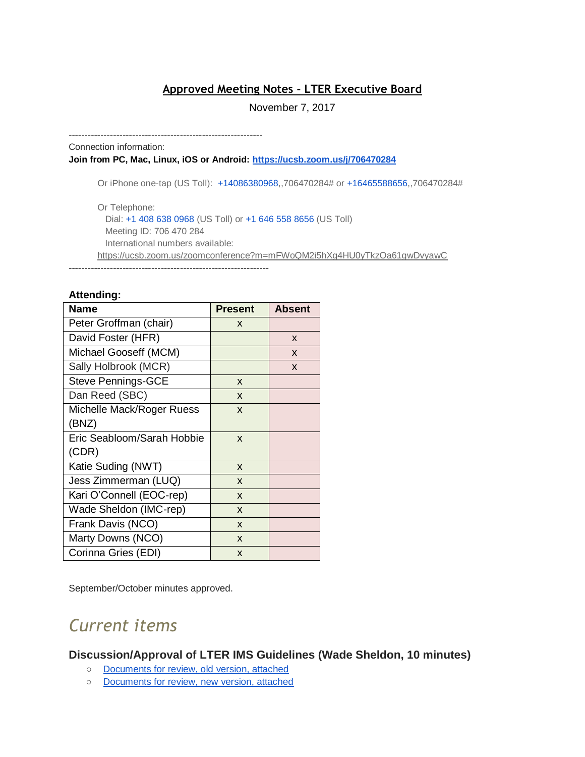## **Approved Meeting Notes - LTER Executive Board**

#### November 7, 2017

-------------------------------------------------------------

Connection information: **Join from PC, Mac, Linux, iOS or Android[:](https://ucsb.zoom.us/j/706470284) <https://ucsb.zoom.us/j/706470284>**

Or iPhone one-tap (US Toll): +14086380968,,706470284# or +16465588656,,706470284#

Or Telephone: Dial: +1 408 638 0968 (US Toll) or +1 646 558 8656 (US Toll) Meeting ID: 706 470 284 International numbers available: <https://ucsb.zoom.us/zoomconference?m=mFWoQM2i5hXg4HU0yTkzOa61gwDvyawC> ---------------------------------------------------------------

#### **Attending:**

| <b>Name</b>                | <b>Present</b> | <b>Absent</b> |
|----------------------------|----------------|---------------|
| Peter Groffman (chair)     | X              |               |
| David Foster (HFR)         |                | X             |
| Michael Gooseff (MCM)      |                | X             |
| Sally Holbrook (MCR)       |                | X             |
| <b>Steve Pennings-GCE</b>  | X              |               |
| Dan Reed (SBC)             | X              |               |
| Michelle Mack/Roger Ruess  | X              |               |
| (BNZ)                      |                |               |
| Eric Seabloom/Sarah Hobbie | X              |               |
| (CDR)                      |                |               |
| Katie Suding (NWT)         | X              |               |
| Jess Zimmerman (LUQ)       | X              |               |
| Kari O'Connell (EOC-rep)   | $\mathsf{x}$   |               |
| Wade Sheldon (IMC-rep)     | $\mathsf{x}$   |               |
| Frank Davis (NCO)          | X              |               |
| Marty Downs (NCO)          | X              |               |
| Corinna Gries (EDI)        | X              |               |

September/October minutes approved.

# *Current items*

**Discussion/Approval of LTER IMS Guidelines (Wade Sheldon, 10 minutes)** 

- [Documents for review, old version, attached](https://drive.google.com/a/nceas.ucsb.edu/file/d/0B3xT0TaiQmt0S19pNUYwdkFWUEZkY3JOM2tfVEM3NHFGWVk4/view?usp=sharing)
- [Documents for review, new version, attached](https://drive.google.com/a/nceas.ucsb.edu/file/d/0B3xT0TaiQmt0amRSLTdWNVhNSXFJdExCTzdMcExCQmJweFRv/view?usp=sharing)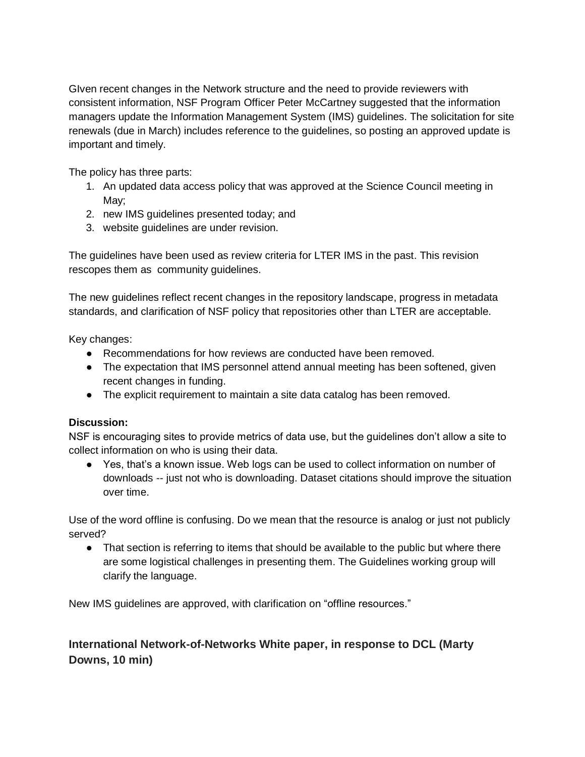GIven recent changes in the Network structure and the need to provide reviewers with consistent information, NSF Program Officer Peter McCartney suggested that the information managers update the Information Management System (IMS) guidelines. The solicitation for site renewals (due in March) includes reference to the guidelines, so posting an approved update is important and timely.

The policy has three parts:

- 1. An updated data access policy that was approved at the Science Council meeting in May;
- 2. new IMS guidelines presented today; and
- 3. website guidelines are under revision.

The guidelines have been used as review criteria for LTER IMS in the past. This revision rescopes them as community guidelines.

The new guidelines reflect recent changes in the repository landscape, progress in metadata standards, and clarification of NSF policy that repositories other than LTER are acceptable.

Key changes:

- Recommendations for how reviews are conducted have been removed.
- The expectation that IMS personnel attend annual meeting has been softened, given recent changes in funding.
- The explicit requirement to maintain a site data catalog has been removed.

## **Discussion:**

NSF is encouraging sites to provide metrics of data use, but the guidelines don't allow a site to collect information on who is using their data.

● Yes, that's a known issue. Web logs can be used to collect information on number of downloads -- just not who is downloading. Dataset citations should improve the situation over time.

Use of the word offline is confusing. Do we mean that the resource is analog or just not publicly served?

• That section is referring to items that should be available to the public but where there are some logistical challenges in presenting them. The Guidelines working group will clarify the language.

New IMS guidelines are approved, with clarification on "offline resources."

# **International Network-of-Networks White paper, in response to DCL (Marty Downs, 10 min)**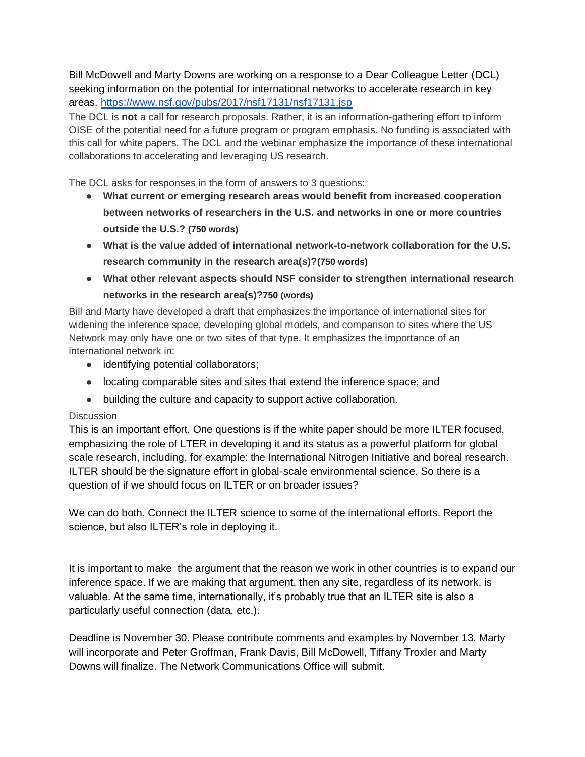Bill McDowell and Marty Downs are working on a response to a Dear Colleague Letter (DCL) seeking information on the potential for international networks to accelerate research in key areas.<https://www.nsf.gov/pubs/2017/nsf17131/nsf17131.jsp>

The DCL is **not** a call for research proposals. Rather, it is an information-gathering effort to inform OISE of the potential need for a future program or program emphasis. No funding is associated with this call for white papers. The DCL and the webinar emphasize the importance of these international collaborations to accelerating and leveraging US research.

The DCL asks for responses in the form of answers to 3 questions:

- **What current or emerging research areas would benefit from increased cooperation between networks of researchers in the U.S. and networks in one or more countries outside the U.S.? (750 words)**
- **What is the value added of international network-to-network collaboration for the U.S. research community in the research area(s)?(750 words)**
- **What other relevant aspects should NSF consider to strengthen international research networks in the research area(s)?750 (words)**

Bill and Marty have developed a draft that emphasizes the importance of international sites for widening the inference space, developing global models, and comparison to sites where the US Network may only have one or two sites of that type. It emphasizes the importance of an international network in:

- identifying potential collaborators;
- locating comparable sites and sites that extend the inference space; and
- building the culture and capacity to support active collaboration.

### **Discussion**

This is an important effort. One questions is if the white paper should be more ILTER focused, emphasizing the role of LTER in developing it and its status as a powerful platform for global scale research, including, for example: the International Nitrogen Initiative and boreal research. ILTER should be the signature effort in global-scale environmental science. So there is a question of if we should focus on ILTER or on broader issues?

We can do both. Connect the ILTER science to some of the international efforts. Report the science, but also ILTER's role in deploying it.

It is important to make the argument that the reason we work in other countries is to expand our inference space. If we are making that argument, then any site, regardless of its network, is valuable. At the same time, internationally, it's probably true that an ILTER site is also a particularly useful connection (data, etc.).

Deadline is November 30. Please contribute comments and examples by November 13. Marty will incorporate and Peter Groffman, Frank Davis, Bill McDowell, Tiffany Troxler and Marty Downs will finalize. The Network Communications Office will submit.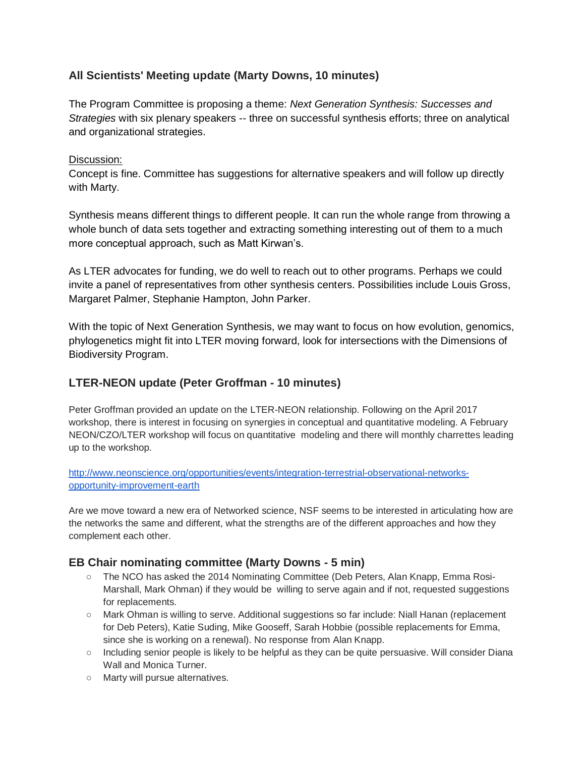# **All Scientists' Meeting update (Marty Downs, 10 minutes)**

The Program Committee is proposing a theme: *Next Generation Synthesis: Successes and Strategies* with six plenary speakers -- three on successful synthesis efforts; three on analytical and organizational strategies.

## Discussion:

Concept is fine. Committee has suggestions for alternative speakers and will follow up directly with Marty.

Synthesis means different things to different people. It can run the whole range from throwing a whole bunch of data sets together and extracting something interesting out of them to a much more conceptual approach, such as Matt Kirwan's.

As LTER advocates for funding, we do well to reach out to other programs. Perhaps we could invite a panel of representatives from other synthesis centers. Possibilities include Louis Gross, Margaret Palmer, Stephanie Hampton, John Parker[.](https://docs.google.com/a/nceas.ucsb.edu/document/d/1hvizpvHowXOEi5X3FeVmKLhWwkADzycJh7IYLK9LDEE/edit?usp=sharing)

With the topic of Next Generation Synthesis, we may want to focus on how evolution, genomics, phylogenetics might fit into LTER moving forward, look for intersections with the Dimensions of Biodiversity Program.

# **LTER-NEON update (Peter Groffman - 10 minutes)**

Peter Groffman provided an update on the LTER-NEON relationship. Following on the April 2017 workshop, there is interest in focusing on synergies in conceptual and quantitative modeling. A February NEON/CZO/LTER workshop will focus on quantitative modeling and there will monthly charrettes leading up to the workshop.

[http://www.neonscience.org/opportunities/events/integration-terrestrial-observational-networks](http://www.neonscience.org/opportunities/events/integration-terrestrial-observational-networks-opportunity-improvement-earth)[opportunity-improvement-earth](http://www.neonscience.org/opportunities/events/integration-terrestrial-observational-networks-opportunity-improvement-earth)

Are we move toward a new era of Networked science, NSF seems to be interested in articulating how are the networks the same and different, what the strengths are of the different approaches and how they complement each other.

# **EB Chair nominating committee (Marty Downs - 5 min)**

- The NCO has asked the 2014 Nominating Committee (Deb Peters, Alan Knapp, Emma Rosi-Marshall, Mark Ohman) if they would be willing to serve again and if not, requested suggestions for replacements.
- Mark Ohman is willing to serve. Additional suggestions so far include: Niall Hanan (replacement for Deb Peters), Katie Suding, Mike Gooseff, Sarah Hobbie (possible replacements for Emma, since she is working on a renewal). No response from Alan Knapp.
- Including senior people is likely to be helpful as they can be quite persuasive. Will consider Diana Wall and Monica Turner
- Marty will pursue alternatives.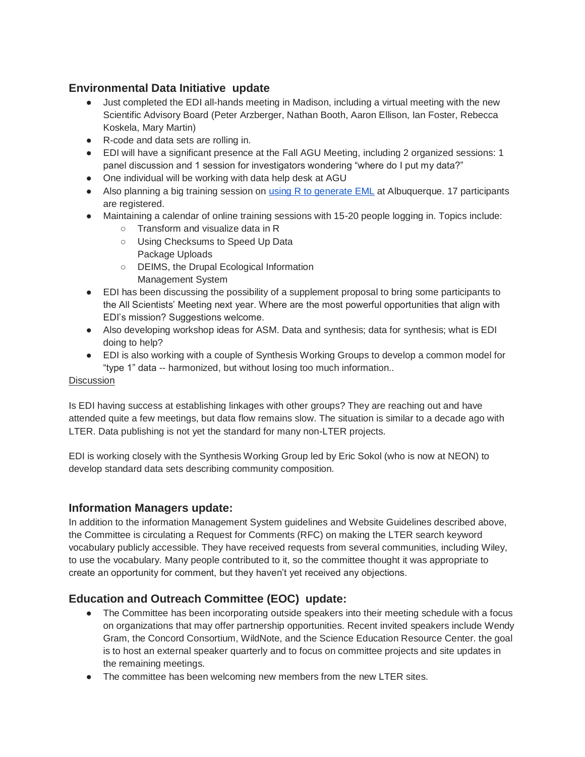## **Environmental Data Initiative update**

- Just completed the EDI all-hands meeting in Madison, including a virtual meeting with the new Scientific Advisory Board (Peter Arzberger, Nathan Booth, Aaron Ellison, Ian Foster, Rebecca Koskela, Mary Martin)
- R-code and data sets are rolling in.
- EDI will have a significant presence at the Fall AGU Meeting, including 2 organized sessions: 1 panel discussion and 1 session for investigators wondering "where do I put my data?"
- One individual will be working with data help desk at AGU
- Also planning a big training session on [using R to generate EML](https://environmentaldatainitiative.org/events/training-workshops-seminars/hands-on-workshop-creating-eml-with-r-and-using-pasta-web-services/) at Albuquerque. 17 participants are registered.
- Maintaining a calendar of online training sessions with 15-20 people logging in. Topics include:
	- Transform and visualize data in R
	- Using Checksums to Speed Up Data Package Uploads
	- DEIMS, the Drupal Ecological Information Management System
- EDI has been discussing the possibility of a supplement proposal to bring some participants to the All Scientists' Meeting next year. Where are the most powerful opportunities that align with EDI's mission? Suggestions welcome.
- Also developing workshop ideas for ASM. Data and synthesis; data for synthesis; what is EDI doing to help?
- EDI is also working with a couple of Synthesis Working Groups to develop a common model for "type 1" data -- harmonized, but without losing too much information..

#### **Discussion**

Is EDI having success at establishing linkages with other groups? They are reaching out and have attended quite a few meetings, but data flow remains slow. The situation is similar to a decade ago with LTER. Data publishing is not yet the standard for many non-LTER projects.

EDI is working closely with the Synthesis Working Group led by Eric Sokol (who is now at NEON) to develop standard data sets describing community composition.

## **Information Managers update:**

In addition to the information Management System guidelines and Website Guidelines described above, the Committee is circulating a Request for Comments (RFC) on making the LTER search keyword vocabulary publicly accessible. They have received requests from several communities, including Wiley, to use the vocabulary. Many people contributed to it, so the committee thought it was appropriate to create an opportunity for comment, but they haven't yet received any objections.

# **Education and Outreach Committee (EOC) update:**

- The Committee has been incorporating outside speakers into their meeting schedule with a focus on organizations that may offer partnership opportunities. Recent invited speakers include Wendy Gram, the Concord Consortium, WildNote, and the Science Education Resource Center. the goal is to host an external speaker quarterly and to focus on committee projects and site updates in the remaining meetings.
- The committee has been welcoming new members from the new LTER sites.